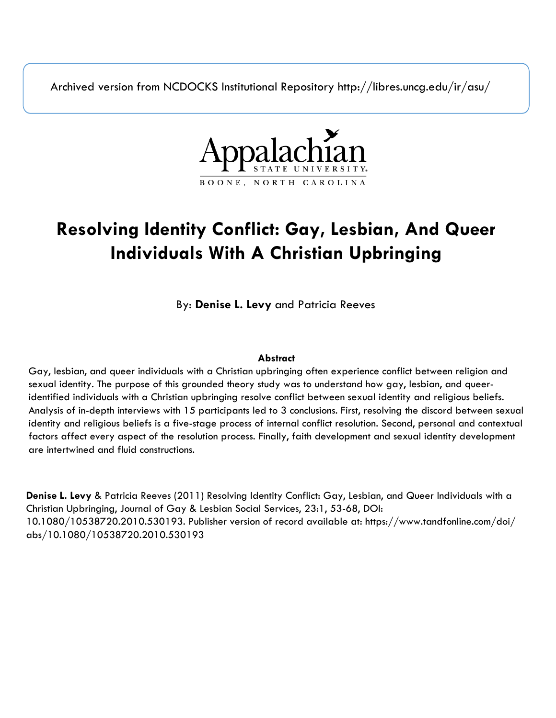Archived version from NCDOCKS Institutional Repository http://libres.uncg.edu/ir/asu/



# **Resolving Identity Conflict: Gay, Lesbian, And Queer Individuals With A Christian Upbringing**

By: **Denise L. Levy** and Patricia Reeves

# **Abstract**

Gay, lesbian, and queer individuals with a Christian upbringing often experience conflict between religion and sexual identity. The purpose of this grounded theory study was to understand how gay, lesbian, and queeridentified individuals with a Christian upbringing resolve conflict between sexual identity and religious beliefs. Analysis of in-depth interviews with 15 participants led to 3 conclusions. First, resolving the discord between sexual identity and religious beliefs is a five-stage process of internal conflict resolution. Second, personal and contextual factors affect every aspect of the resolution process. Finally, faith development and sexual identity development are intertwined and fluid constructions.

**Denise L. Levy** & Patricia Reeves (2011) Resolving Identity Conflict: Gay, Lesbian, and Queer Individuals with a Christian Upbringing, Journal of Gay & Lesbian Social Services, 23:1, 53-68, DOI: 10.1080/10538720.2010.530193. Publisher version of record available at: https://www.tandfonline.com/doi/ abs/10.1080/10538720.2010.530193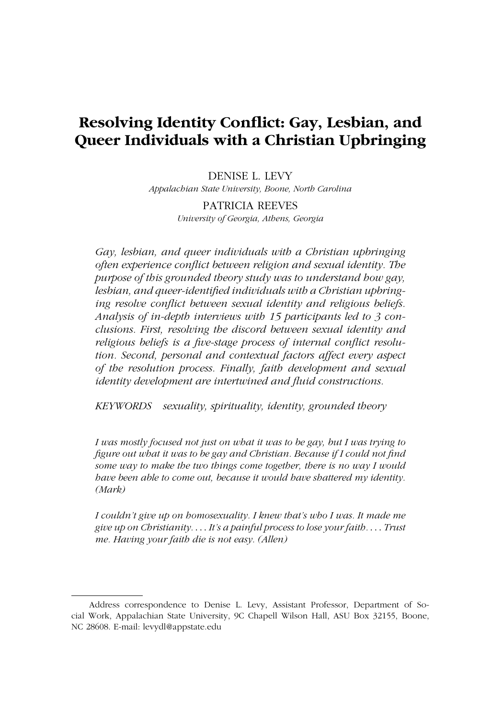# **Resolving Identity Conflict: Gay, Lesbian, and Queer Individuals with a Christian Upbringing**

#### DENISE L. LEVY

*Appalachian State University, Boone, North Carolina*

PATRICIA REEVES *University of Georgia, Athens, Georgia*

*Gay, lesbian, and queer individuals with a Christian upbringing often experience conflict between religion and sexual identity. The purpose of this grounded theory study was to understand how gay, lesbian, and queer-identified individuals with a Christian upbringing resolve conflict between sexual identity and religious beliefs. Analysis of in-depth interviews with 15 participants led to 3 conclusions. First, resolving the discord between sexual identity and religious beliefs is a five-stage process of internal conflict resolution. Second, personal and contextual factors affect every aspect of the resolution process. Finally, faith development and sexual identity development are intertwined and fluid constructions.*

*KEYWORDS sexuality, spirituality, identity, grounded theory*

*I was mostly focused not just on what it was to be gay, but I was trying to figure out what it was to be gay and Christian. Because if I could not find some way to make the two things come together, there is no way I would have been able to come out, because it would have shattered my identity. (Mark)*

*I couldn't give up on homosexuality. I knew that's who I was. It made me give up on Christianity. ... It's a painful process to lose your faith. ... Trust me. Having your faith die is not easy. (Allen)*

Address correspondence to Denise L. Levy, Assistant Professor, Department of Social Work, Appalachian State University, 9C Chapell Wilson Hall, ASU Box 32155, Boone, NC 28608. E-mail: levydl@appstate.edu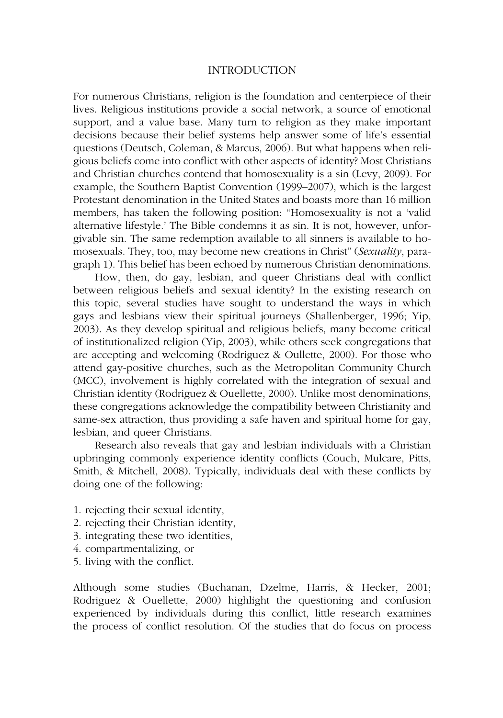#### INTRODUCTION

For numerous Christians, religion is the foundation and centerpiece of their lives. Religious institutions provide a social network, a source of emotional support, and a value base. Many turn to religion as they make important decisions because their belief systems help answer some of life's essential questions (Deutsch, Coleman, & Marcus, 2006). But what happens when religious beliefs come into conflict with other aspects of identity? Most Christians and Christian churches contend that homosexuality is a sin (Levy, 2009). For example, the Southern Baptist Convention (1999–2007), which is the largest Protestant denomination in the United States and boasts more than 16 million members, has taken the following position: "Homosexuality is not a 'valid alternative lifestyle.' The Bible condemns it as sin. It is not, however, unforgivable sin. The same redemption available to all sinners is available to homosexuals. They, too, may become new creations in Christ" (*Sexuality*, paragraph 1). This belief has been echoed by numerous Christian denominations.

How, then, do gay, lesbian, and queer Christians deal with conflict between religious beliefs and sexual identity? In the existing research on this topic, several studies have sought to understand the ways in which gays and lesbians view their spiritual journeys (Shallenberger, 1996; Yip, 2003). As they develop spiritual and religious beliefs, many become critical of institutionalized religion (Yip, 2003), while others seek congregations that are accepting and welcoming (Rodriguez & Oullette, 2000). For those who attend gay-positive churches, such as the Metropolitan Community Church (MCC), involvement is highly correlated with the integration of sexual and Christian identity (Rodriguez & Ouellette, 2000). Unlike most denominations, these congregations acknowledge the compatibility between Christianity and same-sex attraction, thus providing a safe haven and spiritual home for gay, lesbian, and queer Christians.

Research also reveals that gay and lesbian individuals with a Christian upbringing commonly experience identity conflicts (Couch, Mulcare, Pitts, Smith, & Mitchell, 2008). Typically, individuals deal with these conflicts by doing one of the following:

- 1. rejecting their sexual identity,
- 2. rejecting their Christian identity,
- 3. integrating these two identities,
- 4. compartmentalizing, or
- 5. living with the conflict.

Although some studies (Buchanan, Dzelme, Harris, & Hecker, 2001; Rodriguez & Ouellette, 2000) highlight the questioning and confusion experienced by individuals during this conflict, little research examines the process of conflict resolution. Of the studies that do focus on process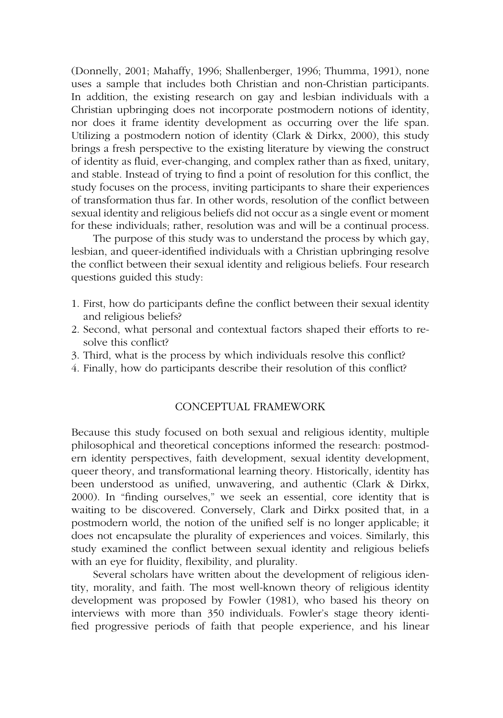(Donnelly, 2001; Mahaffy, 1996; Shallenberger, 1996; Thumma, 1991), none uses a sample that includes both Christian and non-Christian participants. In addition, the existing research on gay and lesbian individuals with a Christian upbringing does not incorporate postmodern notions of identity, nor does it frame identity development as occurring over the life span. Utilizing a postmodern notion of identity (Clark & Dirkx, 2000), this study brings a fresh perspective to the existing literature by viewing the construct of identity as fluid, ever-changing, and complex rather than as fixed, unitary, and stable. Instead of trying to find a point of resolution for this conflict, the study focuses on the process, inviting participants to share their experiences of transformation thus far. In other words, resolution of the conflict between sexual identity and religious beliefs did not occur as a single event or moment for these individuals; rather, resolution was and will be a continual process.

The purpose of this study was to understand the process by which gay, lesbian, and queer-identified individuals with a Christian upbringing resolve the conflict between their sexual identity and religious beliefs. Four research questions guided this study:

- 1. First, how do participants define the conflict between their sexual identity and religious beliefs?
- 2. Second, what personal and contextual factors shaped their efforts to resolve this conflict?
- 3. Third, what is the process by which individuals resolve this conflict?
- 4. Finally, how do participants describe their resolution of this conflict?

#### CONCEPTUAL FRAMEWORK

Because this study focused on both sexual and religious identity, multiple philosophical and theoretical conceptions informed the research: postmodern identity perspectives, faith development, sexual identity development, queer theory, and transformational learning theory. Historically, identity has been understood as unified, unwavering, and authentic (Clark & Dirkx, 2000). In "finding ourselves," we seek an essential, core identity that is waiting to be discovered. Conversely, Clark and Dirkx posited that, in a postmodern world, the notion of the unified self is no longer applicable; it does not encapsulate the plurality of experiences and voices. Similarly, this study examined the conflict between sexual identity and religious beliefs with an eye for fluidity, flexibility, and plurality.

Several scholars have written about the development of religious identity, morality, and faith. The most well-known theory of religious identity development was proposed by Fowler (1981), who based his theory on interviews with more than 350 individuals. Fowler's stage theory identified progressive periods of faith that people experience, and his linear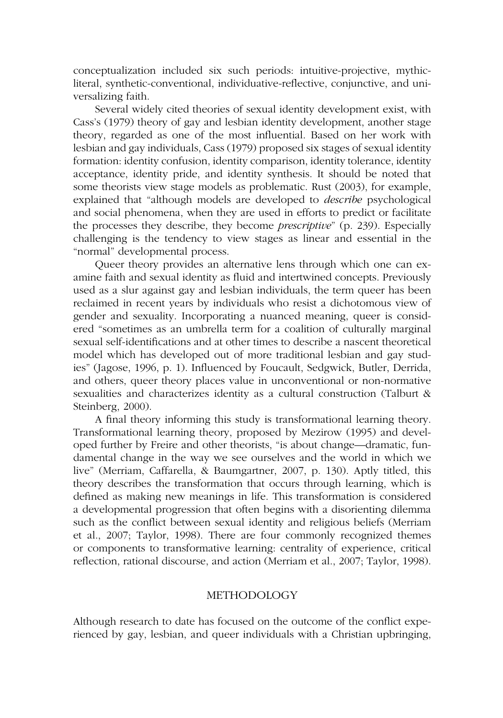conceptualization included six such periods: intuitive-projective, mythicliteral, synthetic-conventional, individuative-reflective, conjunctive, and universalizing faith.

Several widely cited theories of sexual identity development exist, with Cass's (1979) theory of gay and lesbian identity development, another stage theory, regarded as one of the most influential. Based on her work with lesbian and gay individuals, Cass (1979) proposed six stages of sexual identity formation: identity confusion, identity comparison, identity tolerance, identity acceptance, identity pride, and identity synthesis. It should be noted that some theorists view stage models as problematic. Rust (2003), for example, explained that "although models are developed to *describe* psychological and social phenomena, when they are used in efforts to predict or facilitate the processes they describe, they become *prescriptive*" (p. 239). Especially challenging is the tendency to view stages as linear and essential in the "normal" developmental process.

Queer theory provides an alternative lens through which one can examine faith and sexual identity as fluid and intertwined concepts. Previously used as a slur against gay and lesbian individuals, the term queer has been reclaimed in recent years by individuals who resist a dichotomous view of gender and sexuality. Incorporating a nuanced meaning, queer is considered "sometimes as an umbrella term for a coalition of culturally marginal sexual self-identifications and at other times to describe a nascent theoretical model which has developed out of more traditional lesbian and gay studies" (Jagose, 1996, p. 1). Influenced by Foucault, Sedgwick, Butler, Derrida, and others, queer theory places value in unconventional or non-normative sexualities and characterizes identity as a cultural construction (Talburt & Steinberg, 2000).

A final theory informing this study is transformational learning theory. Transformational learning theory, proposed by Mezirow (1995) and developed further by Freire and other theorists, "is about change—dramatic, fundamental change in the way we see ourselves and the world in which we live" (Merriam, Caffarella, & Baumgartner, 2007, p. 130). Aptly titled, this theory describes the transformation that occurs through learning, which is defined as making new meanings in life. This transformation is considered a developmental progression that often begins with a disorienting dilemma such as the conflict between sexual identity and religious beliefs (Merriam et al., 2007; Taylor, 1998). There are four commonly recognized themes or components to transformative learning: centrality of experience, critical reflection, rational discourse, and action (Merriam et al., 2007; Taylor, 1998).

#### METHODOLOGY

Although research to date has focused on the outcome of the conflict experienced by gay, lesbian, and queer individuals with a Christian upbringing,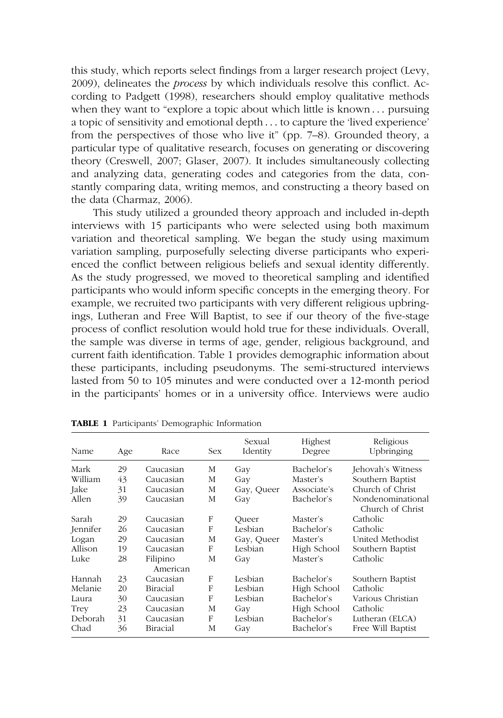this study, which reports select findings from a larger research project (Levy, 2009), delineates the *process* by which individuals resolve this conflict. According to Padgett (1998), researchers should employ qualitative methods when they want to "explore a topic about which little is known *...* pursuing a topic of sensitivity and emotional depth *...* to capture the 'lived experience' from the perspectives of those who live it" (pp. 7–8). Grounded theory, a particular type of qualitative research, focuses on generating or discovering theory (Creswell, 2007; Glaser, 2007). It includes simultaneously collecting and analyzing data, generating codes and categories from the data, constantly comparing data, writing memos, and constructing a theory based on the data (Charmaz, 2006).

This study utilized a grounded theory approach and included in-depth interviews with 15 participants who were selected using both maximum variation and theoretical sampling. We began the study using maximum variation sampling, purposefully selecting diverse participants who experienced the conflict between religious beliefs and sexual identity differently. As the study progressed, we moved to theoretical sampling and identified participants who would inform specific concepts in the emerging theory. For example, we recruited two participants with very different religious upbringings, Lutheran and Free Will Baptist, to see if our theory of the five-stage process of conflict resolution would hold true for these individuals. Overall, the sample was diverse in terms of age, gender, religious background, and current faith identification. Table 1 provides demographic information about these participants, including pseudonyms. The semi-structured interviews lasted from 50 to 105 minutes and were conducted over a 12-month period in the participants' homes or in a university office. Interviews were audio

| Name     | Age | Race                 | Sex | Sexual<br>Identity | Highest<br>Degree | Religious<br>Upbringing               |
|----------|-----|----------------------|-----|--------------------|-------------------|---------------------------------------|
| Mark     | 29  | Caucasian            | М   | Gay                | Bachelor's        | Jehovah's Witness                     |
| William  | 43  | Caucasian            | М   | Gay                | Master's          | Southern Baptist                      |
| Jake     | 31  | Caucasian            | М   | Gay, Queer         | Associate's       | Church of Christ                      |
| Allen    | 39  | Caucasian            | М   | Gay                | Bachelor's        | Nondenominational<br>Church of Christ |
| Sarah    | 29  | Caucasian            | F   | Oueer              | Master's          | Catholic                              |
| Jennifer | 26  | Caucasian            | F   | Lesbian            | Bachelor's        | Catholic                              |
| Logan    | 29  | Caucasian            | М   | Gay, Queer         | Master's          | United Methodist                      |
| Allison  | 19  | Caucasian            | F   | Lesbian            | High School       | Southern Baptist                      |
| Luke     | 28  | Filipino<br>American | М   | Gay                | Master's          | Catholic                              |
| Hannah   | 23  | Caucasian            | F   | Lesbian            | Bachelor's        | Southern Baptist                      |
| Melanie  | 20  | Biracial             | F   | Lesbian            | High School       | Catholic                              |
| Laura    | 30  | Caucasian            | F   | Lesbian            | Bachelor's        | Various Christian                     |
| Trey     | 23  | Caucasian            | М   | Gay                | High School       | Catholic                              |
| Deborah  | 31  | Caucasian            | F   | Lesbian            | Bachelor's        | Lutheran (ELCA)                       |
| Chad     | 36  | Biracial             | М   | Gay                | Bachelor's        | Free Will Baptist                     |

**TABLE 1** Participants' Demographic Information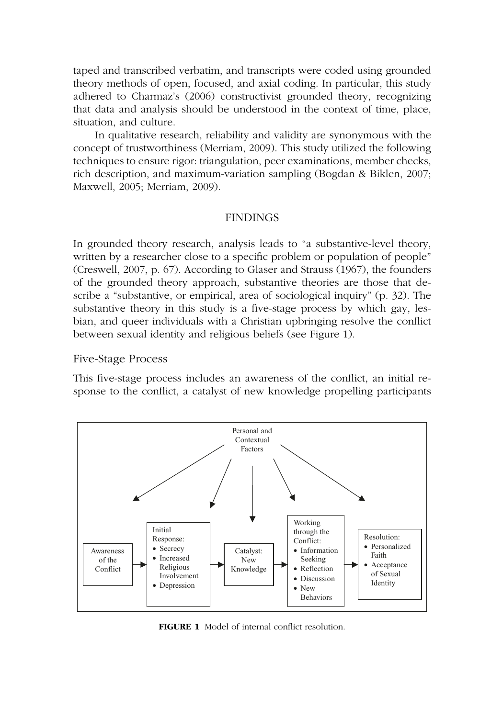taped and transcribed verbatim, and transcripts were coded using grounded theory methods of open, focused, and axial coding. In particular, this study adhered to Charmaz's (2006) constructivist grounded theory, recognizing that data and analysis should be understood in the context of time, place, situation, and culture.

In qualitative research, reliability and validity are synonymous with the concept of trustworthiness (Merriam, 2009). This study utilized the following techniques to ensure rigor: triangulation, peer examinations, member checks, rich description, and maximum-variation sampling (Bogdan & Biklen, 2007; Maxwell, 2005; Merriam, 2009).

## FINDINGS

In grounded theory research, analysis leads to "a substantive-level theory, written by a researcher close to a specific problem or population of people" (Creswell, 2007, p. 67). According to Glaser and Strauss (1967), the founders of the grounded theory approach, substantive theories are those that describe a "substantive, or empirical, area of sociological inquiry" (p. 32). The substantive theory in this study is a five-stage process by which gay, lesbian, and queer individuals with a Christian upbringing resolve the conflict between sexual identity and religious beliefs (see Figure 1).

Five-Stage Process

This five-stage process includes an awareness of the conflict, an initial response to the conflict, a catalyst of new knowledge propelling participants



**FIGURE 1** Model of internal conflict resolution.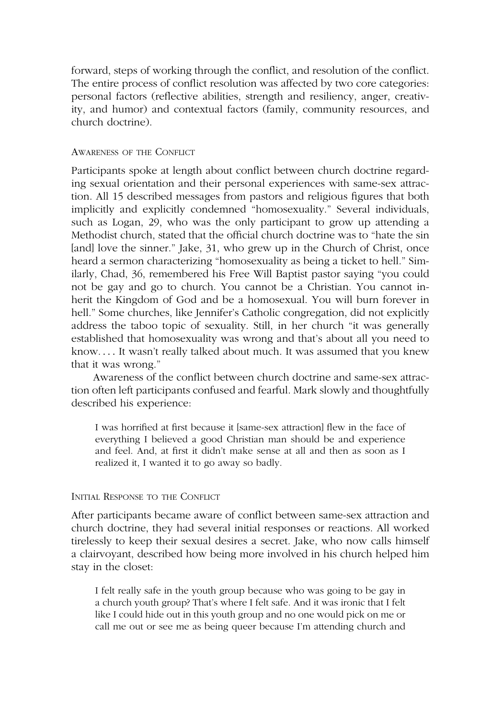forward, steps of working through the conflict, and resolution of the conflict. The entire process of conflict resolution was affected by two core categories: personal factors (reflective abilities, strength and resiliency, anger, creativity, and humor) and contextual factors (family, community resources, and church doctrine).

#### AWARENESS OF THE CONFLICT

Participants spoke at length about conflict between church doctrine regarding sexual orientation and their personal experiences with same-sex attraction. All 15 described messages from pastors and religious figures that both implicitly and explicitly condemned "homosexuality." Several individuals, such as Logan, 29, who was the only participant to grow up attending a Methodist church, stated that the official church doctrine was to "hate the sin [and] love the sinner." Jake, 31, who grew up in the Church of Christ, once heard a sermon characterizing "homosexuality as being a ticket to hell." Similarly, Chad, 36, remembered his Free Will Baptist pastor saying "you could not be gay and go to church. You cannot be a Christian. You cannot inherit the Kingdom of God and be a homosexual. You will burn forever in hell." Some churches, like Jennifer's Catholic congregation, did not explicitly address the taboo topic of sexuality. Still, in her church "it was generally established that homosexuality was wrong and that's about all you need to know. *...* It wasn't really talked about much. It was assumed that you knew that it was wrong."

Awareness of the conflict between church doctrine and same-sex attraction often left participants confused and fearful. Mark slowly and thoughtfully described his experience:

I was horrified at first because it [same-sex attraction] flew in the face of everything I believed a good Christian man should be and experience and feel. And, at first it didn't make sense at all and then as soon as I realized it, I wanted it to go away so badly.

## INITIAL RESPONSE TO THE CONFLICT

After participants became aware of conflict between same-sex attraction and church doctrine, they had several initial responses or reactions. All worked tirelessly to keep their sexual desires a secret. Jake, who now calls himself a clairvoyant, described how being more involved in his church helped him stay in the closet:

I felt really safe in the youth group because who was going to be gay in a church youth group? That's where I felt safe. And it was ironic that I felt like I could hide out in this youth group and no one would pick on me or call me out or see me as being queer because I'm attending church and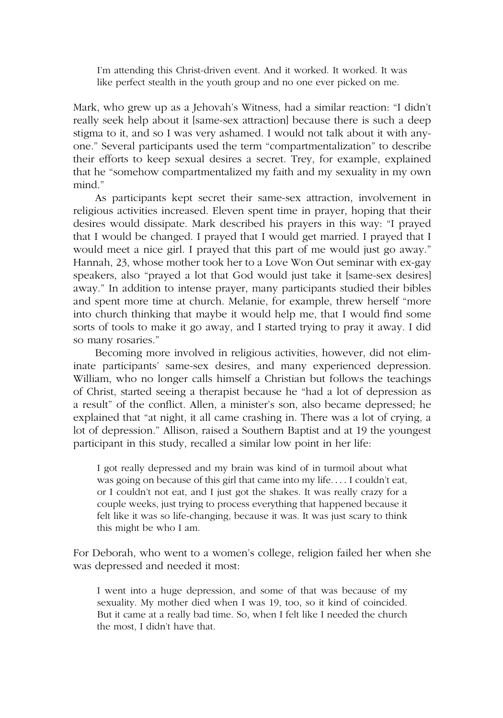I'm attending this Christ-driven event. And it worked. It worked. It was like perfect stealth in the youth group and no one ever picked on me.

Mark, who grew up as a Jehovah's Witness, had a similar reaction: "I didn't really seek help about it [same-sex attraction] because there is such a deep stigma to it, and so I was very ashamed. I would not talk about it with anyone." Several participants used the term "compartmentalization" to describe their efforts to keep sexual desires a secret. Trey, for example, explained that he "somehow compartmentalized my faith and my sexuality in my own mind."

As participants kept secret their same-sex attraction, involvement in religious activities increased. Eleven spent time in prayer, hoping that their desires would dissipate. Mark described his prayers in this way: "I prayed that I would be changed. I prayed that I would get married. I prayed that I would meet a nice girl. I prayed that this part of me would just go away." Hannah, 23, whose mother took her to a Love Won Out seminar with ex-gay speakers, also "prayed a lot that God would just take it [same-sex desires] away." In addition to intense prayer, many participants studied their bibles and spent more time at church. Melanie, for example, threw herself "more into church thinking that maybe it would help me, that I would find some sorts of tools to make it go away, and I started trying to pray it away. I did so many rosaries."

Becoming more involved in religious activities, however, did not eliminate participants' same-sex desires, and many experienced depression. William, who no longer calls himself a Christian but follows the teachings of Christ, started seeing a therapist because he "had a lot of depression as a result" of the conflict. Allen, a minister's son, also became depressed; he explained that "at night, it all came crashing in. There was a lot of crying, a lot of depression." Allison, raised a Southern Baptist and at 19 the youngest participant in this study, recalled a similar low point in her life:

I got really depressed and my brain was kind of in turmoil about what was going on because of this girl that came into my life. *...* I couldn't eat, or I couldn't not eat, and I just got the shakes. It was really crazy for a couple weeks, just trying to process everything that happened because it felt like it was so life-changing, because it was. It was just scary to think this might be who I am.

For Deborah, who went to a women's college, religion failed her when she was depressed and needed it most:

I went into a huge depression, and some of that was because of my sexuality. My mother died when I was 19, too, so it kind of coincided. But it came at a really bad time. So, when I felt like I needed the church the most, I didn't have that.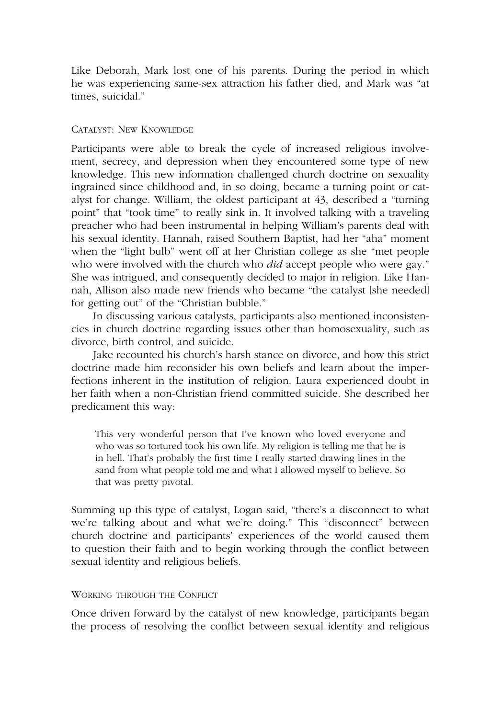Like Deborah, Mark lost one of his parents. During the period in which he was experiencing same-sex attraction his father died, and Mark was "at times, suicidal."

#### CATALYST: NEW KNOWLEDGE

Participants were able to break the cycle of increased religious involvement, secrecy, and depression when they encountered some type of new knowledge. This new information challenged church doctrine on sexuality ingrained since childhood and, in so doing, became a turning point or catalyst for change. William, the oldest participant at 43, described a "turning point" that "took time" to really sink in. It involved talking with a traveling preacher who had been instrumental in helping William's parents deal with his sexual identity. Hannah, raised Southern Baptist, had her "aha" moment when the "light bulb" went off at her Christian college as she "met people who were involved with the church who *did* accept people who were gay." She was intrigued, and consequently decided to major in religion. Like Hannah, Allison also made new friends who became "the catalyst [she needed] for getting out" of the "Christian bubble."

In discussing various catalysts, participants also mentioned inconsistencies in church doctrine regarding issues other than homosexuality, such as divorce, birth control, and suicide.

Jake recounted his church's harsh stance on divorce, and how this strict doctrine made him reconsider his own beliefs and learn about the imperfections inherent in the institution of religion. Laura experienced doubt in her faith when a non-Christian friend committed suicide. She described her predicament this way:

This very wonderful person that I've known who loved everyone and who was so tortured took his own life. My religion is telling me that he is in hell. That's probably the first time I really started drawing lines in the sand from what people told me and what I allowed myself to believe. So that was pretty pivotal.

Summing up this type of catalyst, Logan said, "there's a disconnect to what we're talking about and what we're doing." This "disconnect" between church doctrine and participants' experiences of the world caused them to question their faith and to begin working through the conflict between sexual identity and religious beliefs.

#### WORKING THROUGH THE CONFLICT

Once driven forward by the catalyst of new knowledge, participants began the process of resolving the conflict between sexual identity and religious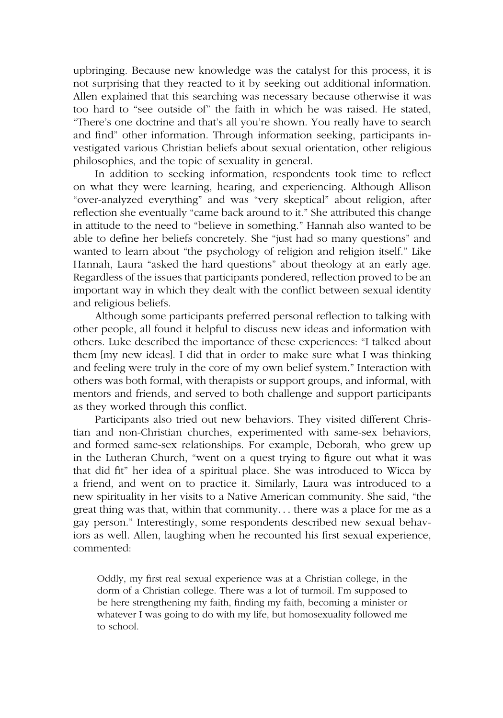upbringing. Because new knowledge was the catalyst for this process, it is not surprising that they reacted to it by seeking out additional information. Allen explained that this searching was necessary because otherwise it was too hard to "see outside of" the faith in which he was raised. He stated, "There's one doctrine and that's all you're shown. You really have to search and find" other information. Through information seeking, participants investigated various Christian beliefs about sexual orientation, other religious philosophies, and the topic of sexuality in general.

In addition to seeking information, respondents took time to reflect on what they were learning, hearing, and experiencing. Although Allison "over-analyzed everything" and was "very skeptical" about religion, after reflection she eventually "came back around to it." She attributed this change in attitude to the need to "believe in something." Hannah also wanted to be able to define her beliefs concretely. She "just had so many questions" and wanted to learn about "the psychology of religion and religion itself." Like Hannah, Laura "asked the hard questions" about theology at an early age. Regardless of the issues that participants pondered, reflection proved to be an important way in which they dealt with the conflict between sexual identity and religious beliefs.

Although some participants preferred personal reflection to talking with other people, all found it helpful to discuss new ideas and information with others. Luke described the importance of these experiences: "I talked about them [my new ideas]. I did that in order to make sure what I was thinking and feeling were truly in the core of my own belief system." Interaction with others was both formal, with therapists or support groups, and informal, with mentors and friends, and served to both challenge and support participants as they worked through this conflict.

Participants also tried out new behaviors. They visited different Christian and non-Christian churches, experimented with same-sex behaviors, and formed same-sex relationships. For example, Deborah, who grew up in the Lutheran Church, "went on a quest trying to figure out what it was that did fit" her idea of a spiritual place. She was introduced to Wicca by a friend, and went on to practice it. Similarly, Laura was introduced to a new spirituality in her visits to a Native American community. She said, "the great thing was that, within that community*...* there was a place for me as a gay person." Interestingly, some respondents described new sexual behaviors as well. Allen, laughing when he recounted his first sexual experience, commented:

Oddly, my first real sexual experience was at a Christian college, in the dorm of a Christian college. There was a lot of turmoil. I'm supposed to be here strengthening my faith, finding my faith, becoming a minister or whatever I was going to do with my life, but homosexuality followed me to school.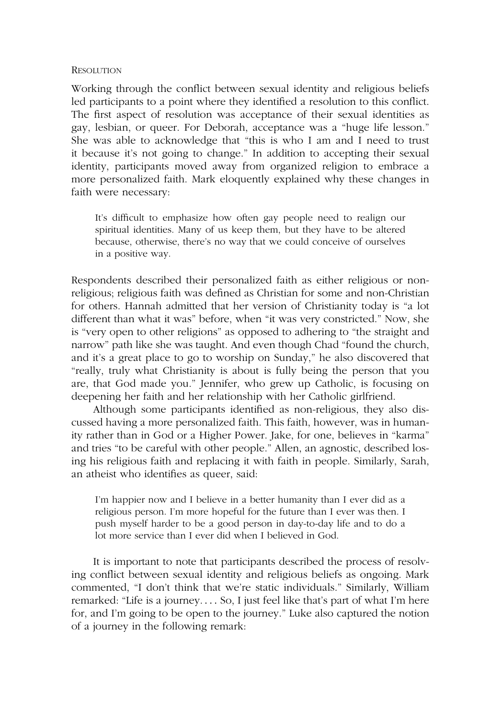#### **RESOLUTION**

Working through the conflict between sexual identity and religious beliefs led participants to a point where they identified a resolution to this conflict. The first aspect of resolution was acceptance of their sexual identities as gay, lesbian, or queer. For Deborah, acceptance was a "huge life lesson." She was able to acknowledge that "this is who I am and I need to trust it because it's not going to change." In addition to accepting their sexual identity, participants moved away from organized religion to embrace a more personalized faith. Mark eloquently explained why these changes in faith were necessary:

It's difficult to emphasize how often gay people need to realign our spiritual identities. Many of us keep them, but they have to be altered because, otherwise, there's no way that we could conceive of ourselves in a positive way.

Respondents described their personalized faith as either religious or nonreligious; religious faith was defined as Christian for some and non-Christian for others. Hannah admitted that her version of Christianity today is "a lot different than what it was" before, when "it was very constricted." Now, she is "very open to other religions" as opposed to adhering to "the straight and narrow" path like she was taught. And even though Chad "found the church, and it's a great place to go to worship on Sunday," he also discovered that "really, truly what Christianity is about is fully being the person that you are, that God made you." Jennifer, who grew up Catholic, is focusing on deepening her faith and her relationship with her Catholic girlfriend.

Although some participants identified as non-religious, they also discussed having a more personalized faith. This faith, however, was in humanity rather than in God or a Higher Power. Jake, for one, believes in "karma" and tries "to be careful with other people." Allen, an agnostic, described losing his religious faith and replacing it with faith in people. Similarly, Sarah, an atheist who identifies as queer, said:

I'm happier now and I believe in a better humanity than I ever did as a religious person. I'm more hopeful for the future than I ever was then. I push myself harder to be a good person in day-to-day life and to do a lot more service than I ever did when I believed in God.

It is important to note that participants described the process of resolving conflict between sexual identity and religious beliefs as ongoing. Mark commented, "I don't think that we're static individuals." Similarly, William remarked: "Life is a journey. *...* So, I just feel like that's part of what I'm here for, and I'm going to be open to the journey." Luke also captured the notion of a journey in the following remark: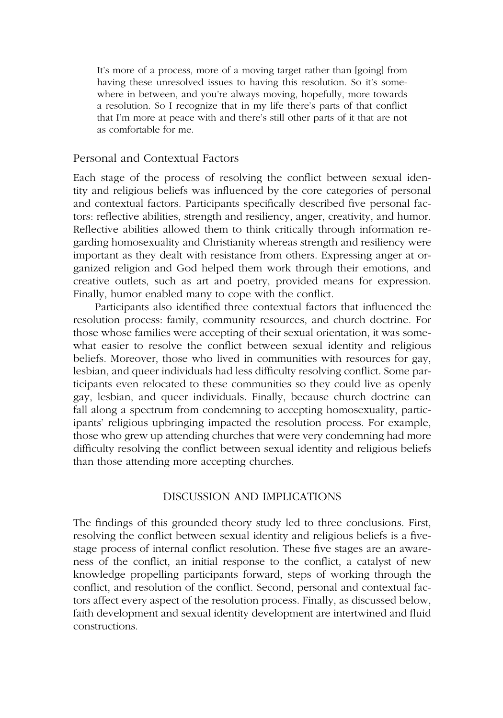It's more of a process, more of a moving target rather than [going] from having these unresolved issues to having this resolution. So it's somewhere in between, and you're always moving, hopefully, more towards a resolution. So I recognize that in my life there's parts of that conflict that I'm more at peace with and there's still other parts of it that are not as comfortable for me.

# Personal and Contextual Factors

Each stage of the process of resolving the conflict between sexual identity and religious beliefs was influenced by the core categories of personal and contextual factors. Participants specifically described five personal factors: reflective abilities, strength and resiliency, anger, creativity, and humor. Reflective abilities allowed them to think critically through information regarding homosexuality and Christianity whereas strength and resiliency were important as they dealt with resistance from others. Expressing anger at organized religion and God helped them work through their emotions, and creative outlets, such as art and poetry, provided means for expression. Finally, humor enabled many to cope with the conflict.

Participants also identified three contextual factors that influenced the resolution process: family, community resources, and church doctrine. For those whose families were accepting of their sexual orientation, it was somewhat easier to resolve the conflict between sexual identity and religious beliefs. Moreover, those who lived in communities with resources for gay, lesbian, and queer individuals had less difficulty resolving conflict. Some participants even relocated to these communities so they could live as openly gay, lesbian, and queer individuals. Finally, because church doctrine can fall along a spectrum from condemning to accepting homosexuality, participants' religious upbringing impacted the resolution process. For example, those who grew up attending churches that were very condemning had more difficulty resolving the conflict between sexual identity and religious beliefs than those attending more accepting churches.

## DISCUSSION AND IMPLICATIONS

The findings of this grounded theory study led to three conclusions. First, resolving the conflict between sexual identity and religious beliefs is a fivestage process of internal conflict resolution. These five stages are an awareness of the conflict, an initial response to the conflict, a catalyst of new knowledge propelling participants forward, steps of working through the conflict, and resolution of the conflict. Second, personal and contextual factors affect every aspect of the resolution process. Finally, as discussed below, faith development and sexual identity development are intertwined and fluid constructions.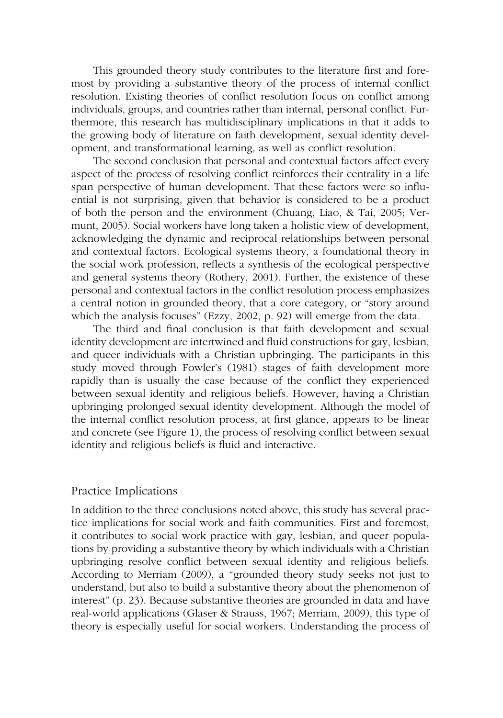This grounded theory study contributes to the literature first and foremost by providing a substantive theory of the process of internal conflict resolution. Existing theories of conflict resolution focus on conflict among individuals, groups, and countries rather than internal, personal conflict. Furthermore, this research has multidisciplinary implications in that it adds to the growing body of literature on faith development, sexual identity development, and transformational learning, as well as conflict resolution.

The second conclusion that personal and contextual factors affect every aspect of the process of resolving conflict reinforces their centrality in a life span perspective of human development. That these factors were so influential is not surprising, given that behavior is considered to be a product of both the person and the environment (Chuang, Liao, & Tai, 2005; Vermunt, 2005). Social workers have long taken a holistic view of development, acknowledging the dynamic and reciprocal relationships between personal and contextual factors. Ecological systems theory, a foundational theory in the social work profession, reflects a synthesis of the ecological perspective and general systems theory (Rothery, 2001). Further, the existence of these personal and contextual factors in the conflict resolution process emphasizes a central notion in grounded theory, that a core category, or "story around which the analysis focuses" (Ezzy, 2002, p. 92) will emerge from the data.

The third and final conclusion is that faith development and sexual identity development are intertwined and fluid constructions for gay, lesbian, and queer individuals with a Christian upbringing. The participants in this study moved through Fowler's (1981) stages of faith development more rapidly than is usually the case because of the conflict they experienced between sexual identity and religious beliefs. However, having a Christian upbringing prolonged sexual identity development. Although the model of the internal conflict resolution process, at first glance, appears to be linear and concrete (see Figure 1), the process of resolving conflict between sexual identity and religious beliefs is fluid and interactive.

#### Practice Implications

In addition to the three conclusions noted above, this study has several practice implications for social work and faith communities. First and foremost, it contributes to social work practice with gay, lesbian, and queer populations by providing a substantive theory by which individuals with a Christian upbringing resolve conflict between sexual identity and religious beliefs. According to Merriam (2009), a "grounded theory study seeks not just to understand, but also to build a substantive theory about the phenomenon of interest" (p. 23). Because substantive theories are grounded in data and have real-world applications (Glaser & Strauss, 1967; Merriam, 2009), this type of theory is especially useful for social workers. Understanding the process of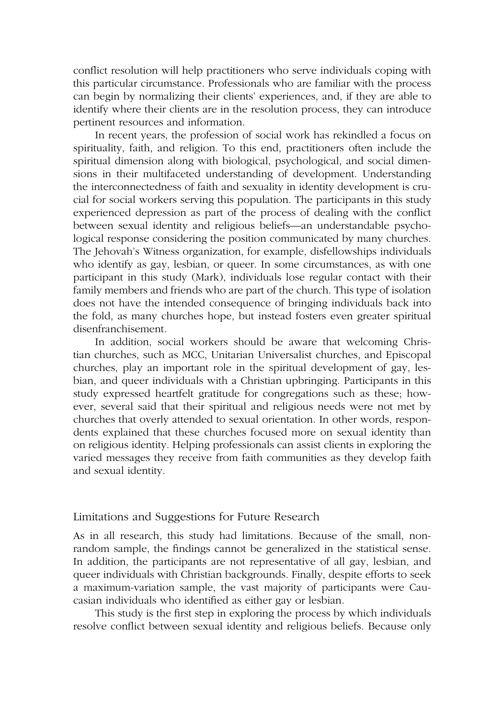conflict resolution will help practitioners who serve individuals coping with this particular circumstance. Professionals who are familiar with the process can begin by normalizing their clients' experiences, and, if they are able to identify where their clients are in the resolution process, they can introduce pertinent resources and information.

In recent years, the profession of social work has rekindled a focus on spirituality, faith, and religion. To this end, practitioners often include the spiritual dimension along with biological, psychological, and social dimensions in their multifaceted understanding of development. Understanding the interconnectedness of faith and sexuality in identity development is crucial for social workers serving this population. The participants in this study experienced depression as part of the process of dealing with the conflict between sexual identity and religious beliefs—an understandable psychological response considering the position communicated by many churches. The Jehovah's Witness organization, for example, disfellowships individuals who identify as gay, lesbian, or queer. In some circumstances, as with one participant in this study (Mark), individuals lose regular contact with their family members and friends who are part of the church. This type of isolation does not have the intended consequence of bringing individuals back into the fold, as many churches hope, but instead fosters even greater spiritual disenfranchisement.

In addition, social workers should be aware that welcoming Christian churches, such as MCC, Unitarian Universalist churches, and Episcopal churches, play an important role in the spiritual development of gay, lesbian, and queer individuals with a Christian upbringing. Participants in this study expressed heartfelt gratitude for congregations such as these; however, several said that their spiritual and religious needs were not met by churches that overly attended to sexual orientation. In other words, respondents explained that these churches focused more on sexual identity than on religious identity. Helping professionals can assist clients in exploring the varied messages they receive from faith communities as they develop faith and sexual identity.

## Limitations and Suggestions for Future Research

As in all research, this study had limitations. Because of the small, nonrandom sample, the findings cannot be generalized in the statistical sense. In addition, the participants are not representative of all gay, lesbian, and queer individuals with Christian backgrounds. Finally, despite efforts to seek a maximum-variation sample, the vast majority of participants were Caucasian individuals who identified as either gay or lesbian.

This study is the first step in exploring the process by which individuals resolve conflict between sexual identity and religious beliefs. Because only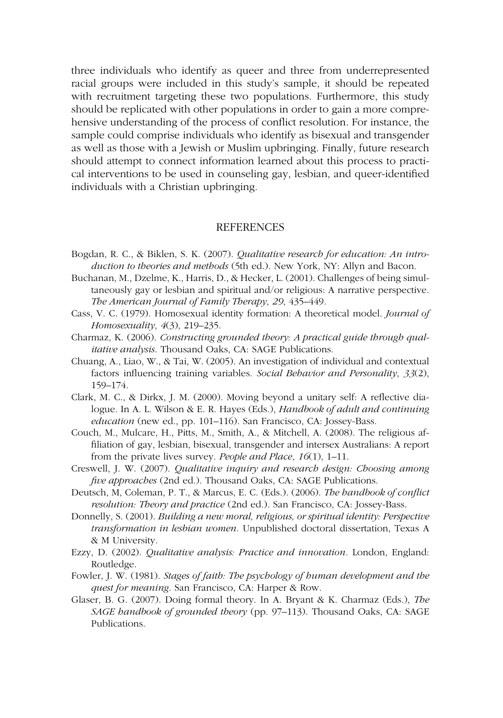three individuals who identify as queer and three from underrepresented racial groups were included in this study's sample, it should be repeated with recruitment targeting these two populations. Furthermore, this study should be replicated with other populations in order to gain a more comprehensive understanding of the process of conflict resolution. For instance, the sample could comprise individuals who identify as bisexual and transgender as well as those with a Jewish or Muslim upbringing. Finally, future research should attempt to connect information learned about this process to practical interventions to be used in counseling gay, lesbian, and queer-identified individuals with a Christian upbringing.

#### **REFERENCES**

- Bogdan, R. C., & Biklen, S. K. (2007). *Qualitative research for education: An introduction to theories and methods* (5th ed.). New York, NY: Allyn and Bacon.
- Buchanan, M., Dzelme, K., Harris, D., & Hecker, L. (2001). Challenges of being simultaneously gay or lesbian and spiritual and/or religious: A narrative perspective. *The American Journal of Family Therapy*, *29*, 435–449.
- Cass, V. C. (1979). Homosexual identity formation: A theoretical model. *Journal of Homosexuality*, *4*(3), 219–235.
- Charmaz, K. (2006). *Constructing grounded theory: A practical guide through qualitative analysis*. Thousand Oaks, CA: SAGE Publications.
- Chuang, A., Liao, W., & Tai, W. (2005). An investigation of individual and contextual factors influencing training variables. *Social Behavior and Personality*, *33*(2), 159–174.
- Clark, M. C., & Dirkx, J. M. (2000). Moving beyond a unitary self: A reflective dialogue. In A. L. Wilson & E. R. Hayes (Eds.), *Handbook of adult and continuing education* (new ed., pp. 101–116). San Francisco, CA: Jossey-Bass.
- Couch, M., Mulcare, H., Pitts, M., Smith, A., & Mitchell, A. (2008). The religious affiliation of gay, lesbian, bisexual, transgender and intersex Australians: A report from the private lives survey. *People and Place*, *16*(1), 1–11.
- Creswell, J. W. (2007). *Qualitative inquiry and research design: Choosing among five approaches* (2nd ed.). Thousand Oaks, CA: SAGE Publications.
- Deutsch, M, Coleman, P. T., & Marcus, E. C. (Eds.). (2006). *The handbook of conflict resolution: Theory and practice* (2nd ed.). San Francisco, CA: Jossey-Bass.
- Donnelly, S. (2001). *Building a new moral, religious, or spiritual identity: Perspective transformation in lesbian women*. Unpublished doctoral dissertation, Texas A & M University.
- Ezzy, D. (2002). *Qualitative analysis: Practice and innovation.* London, England: Routledge.
- Fowler, J. W. (1981). *Stages of faith: The psychology of human development and the quest for meaning*. San Francisco, CA: Harper & Row.
- Glaser, B. G. (2007). Doing formal theory. In A. Bryant & K. Charmaz (Eds.), *The SAGE handbook of grounded theory* (pp. 97–113). Thousand Oaks, CA: SAGE Publications.